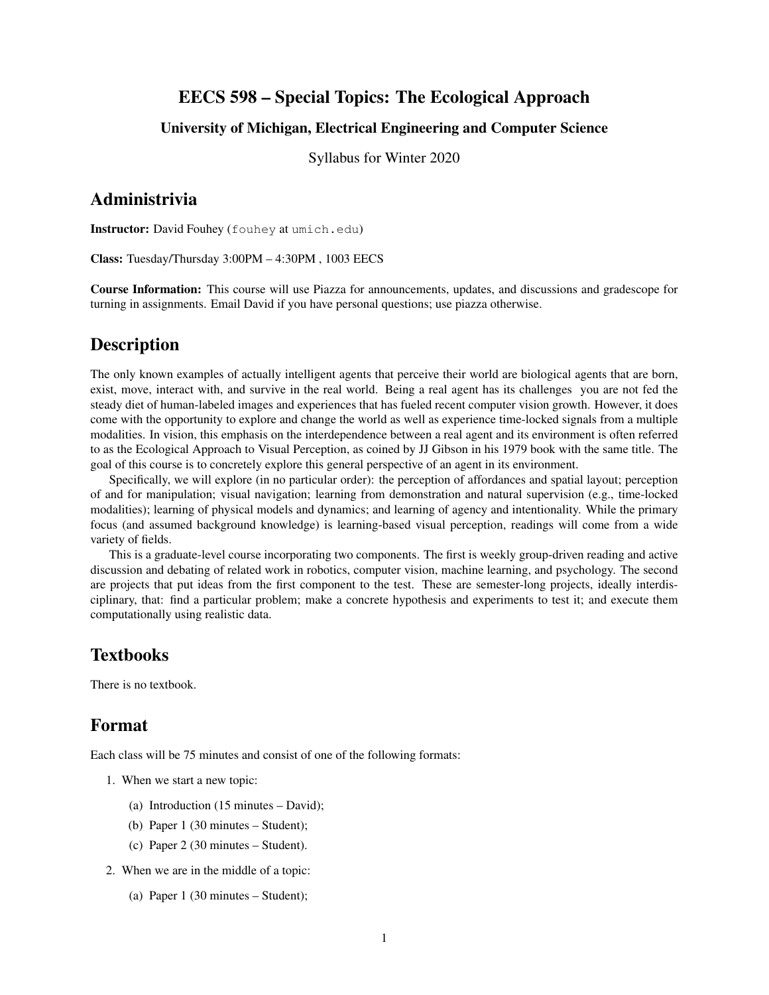## EECS 598 – Special Topics: The Ecological Approach

### University of Michigan, Electrical Engineering and Computer Science

Syllabus for Winter 2020

### Administrivia

Instructor: David Fouhey (fouhey at umich.edu)

Class: Tuesday/Thursday 3:00PM – 4:30PM , 1003 EECS

Course Information: This course will use Piazza for announcements, updates, and discussions and gradescope for turning in assignments. Email David if you have personal questions; use piazza otherwise.

## **Description**

The only known examples of actually intelligent agents that perceive their world are biological agents that are born, exist, move, interact with, and survive in the real world. Being a real agent has its challenges you are not fed the steady diet of human-labeled images and experiences that has fueled recent computer vision growth. However, it does come with the opportunity to explore and change the world as well as experience time-locked signals from a multiple modalities. In vision, this emphasis on the interdependence between a real agent and its environment is often referred to as the Ecological Approach to Visual Perception, as coined by JJ Gibson in his 1979 book with the same title. The goal of this course is to concretely explore this general perspective of an agent in its environment.

Specifically, we will explore (in no particular order): the perception of affordances and spatial layout; perception of and for manipulation; visual navigation; learning from demonstration and natural supervision (e.g., time-locked modalities); learning of physical models and dynamics; and learning of agency and intentionality. While the primary focus (and assumed background knowledge) is learning-based visual perception, readings will come from a wide variety of fields.

This is a graduate-level course incorporating two components. The first is weekly group-driven reading and active discussion and debating of related work in robotics, computer vision, machine learning, and psychology. The second are projects that put ideas from the first component to the test. These are semester-long projects, ideally interdisciplinary, that: find a particular problem; make a concrete hypothesis and experiments to test it; and execute them computationally using realistic data.

## Textbooks

There is no textbook.

## Format

Each class will be 75 minutes and consist of one of the following formats:

- 1. When we start a new topic:
	- (a) Introduction (15 minutes David);
	- (b) Paper 1 (30 minutes Student);
	- (c) Paper 2 (30 minutes Student).
- 2. When we are in the middle of a topic:
	- (a) Paper 1 (30 minutes Student);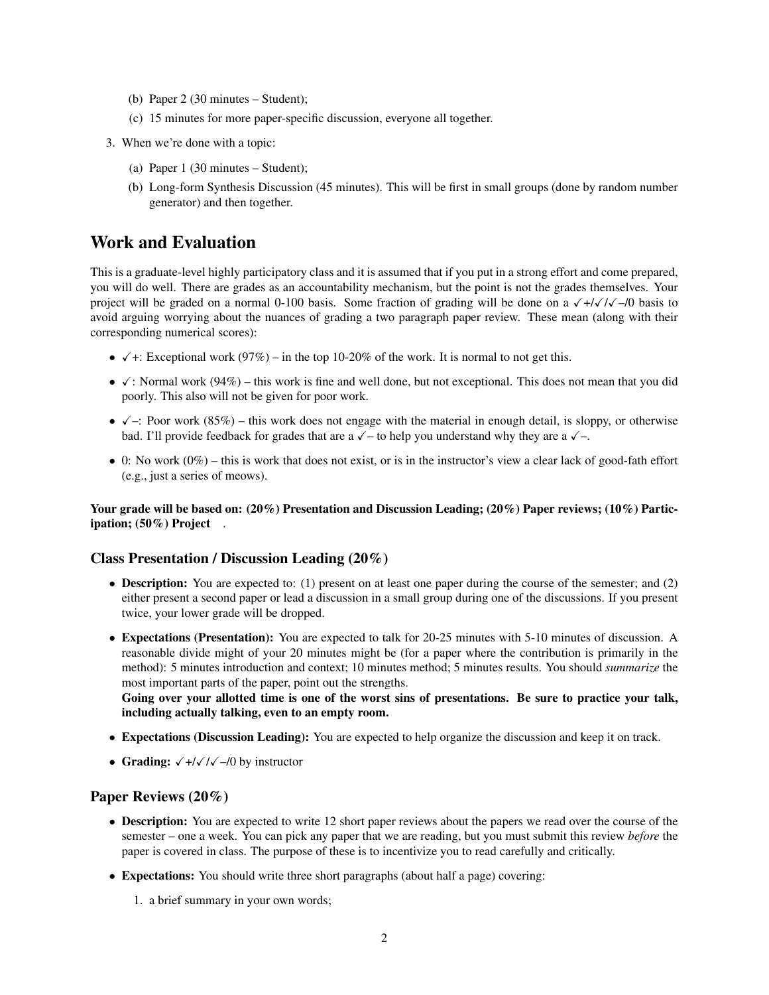- (b) Paper 2 (30 minutes Student);
- (c) 15 minutes for more paper-specific discussion, everyone all together.
- 3. When we're done with a topic:
	- (a) Paper 1 (30 minutes Student);
	- (b) Long-form Synthesis Discussion (45 minutes). This will be first in small groups (done by random number generator) and then together.

## Work and Evaluation

This is a graduate-level highly participatory class and it is assumed that if you put in a strong effort and come prepared, you will do well. There are grades as an accountability mechanism, but the point is not the grades themselves. Your project will be graded on a normal 0-100 basis. Some fraction of grading will be done on a  $\sqrt{\frac{1}{\sqrt{}}}}$  ( $\sqrt{\frac{1}{\sqrt{}}}}$ ) basis to avoid arguing worrying about the nuances of grading a two paragraph paper review. These mean (along with their corresponding numerical scores):

- $\checkmark$  +: Exceptional work (97%) in the top 10-20% of the work. It is normal to not get this.
- $\checkmark$ : Normal work (94%) this work is fine and well done, but not exceptional. This does not mean that you did poorly. This also will not be given for poor work.
- $\checkmark$  –: Poor work (85%) this work does not engage with the material in enough detail, is sloppy, or otherwise bad. I'll provide feedback for grades that are a  $\sqrt{-}$  to help you understand why they are a  $\sqrt{-}$ .
- 0: No work  $(0\%)$  this is work that does not exist, or is in the instructor's view a clear lack of good-fath effort (e.g., just a series of meows).

Your grade will be based on: (20%) Presentation and Discussion Leading; (20%) Paper reviews; (10%) Participation; (50%) Project.

#### Class Presentation / Discussion Leading (20%)

- Description: You are expected to: (1) present on at least one paper during the course of the semester; and (2) either present a second paper or lead a discussion in a small group during one of the discussions. If you present twice, your lower grade will be dropped.
- Expectations (Presentation): You are expected to talk for 20-25 minutes with 5-10 minutes of discussion. A reasonable divide might of your 20 minutes might be (for a paper where the contribution is primarily in the method): 5 minutes introduction and context; 10 minutes method; 5 minutes results. You should *summarize* the most important parts of the paper, point out the strengths.

Going over your allotted time is one of the worst sins of presentations. Be sure to practice your talk, including actually talking, even to an empty room.

- Expectations (Discussion Leading): You are expected to help organize the discussion and keep it on track.
- Grading:  $\sqrt{\frac{+}{\sqrt{\pi}}}$  by instructor

#### Paper Reviews (20%)

- Description: You are expected to write 12 short paper reviews about the papers we read over the course of the semester – one a week. You can pick any paper that we are reading, but you must submit this review *before* the paper is covered in class. The purpose of these is to incentivize you to read carefully and critically.
- Expectations: You should write three short paragraphs (about half a page) covering:
	- 1. a brief summary in your own words;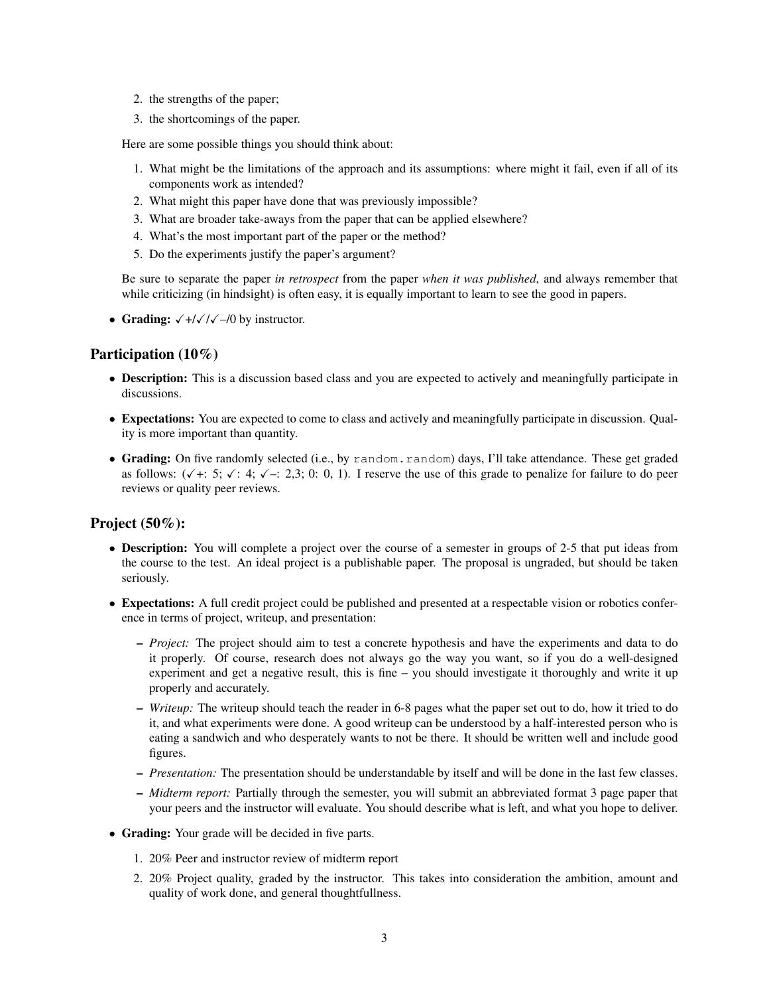- 2. the strengths of the paper;
- 3. the shortcomings of the paper.

Here are some possible things you should think about:

- 1. What might be the limitations of the approach and its assumptions: where might it fail, even if all of its components work as intended?
- 2. What might this paper have done that was previously impossible?
- 3. What are broader take-aways from the paper that can be applied elsewhere?
- 4. What's the most important part of the paper or the method?
- 5. Do the experiments justify the paper's argument?

Be sure to separate the paper *in retrospect* from the paper *when it was published*, and always remember that while criticizing (in hindsight) is often easy, it is equally important to learn to see the good in papers.

• Grading:  $\sqrt{\frac{+}{\sqrt{\sqrt{}}}}$  by instructor.

#### Participation (10%)

- Description: This is a discussion based class and you are expected to actively and meaningfully participate in discussions.
- Expectations: You are expected to come to class and actively and meaningfully participate in discussion. Quality is more important than quantity.
- Grading: On five randomly selected (i.e., by random.random) days, I'll take attendance. These get graded as follows:  $(\sqrt{+} : 5; \sqrt{+} : 4; \sqrt{-} : 2,3; 0; 0, 1)$ . I reserve the use of this grade to penalize for failure to do peer reviews or quality peer reviews.

#### Project  $(50\%)$ :

- Description: You will complete a project over the course of a semester in groups of 2-5 that put ideas from the course to the test. An ideal project is a publishable paper. The proposal is ungraded, but should be taken seriously.
- Expectations: A full credit project could be published and presented at a respectable vision or robotics conference in terms of project, writeup, and presentation:
	- *Project:* The project should aim to test a concrete hypothesis and have the experiments and data to do it properly. Of course, research does not always go the way you want, so if you do a well-designed experiment and get a negative result, this is fine – you should investigate it thoroughly and write it up properly and accurately.
	- *Writeup:* The writeup should teach the reader in 6-8 pages what the paper set out to do, how it tried to do it, and what experiments were done. A good writeup can be understood by a half-interested person who is eating a sandwich and who desperately wants to not be there. It should be written well and include good figures.
	- *Presentation:* The presentation should be understandable by itself and will be done in the last few classes.
	- *Midterm report:* Partially through the semester, you will submit an abbreviated format 3 page paper that your peers and the instructor will evaluate. You should describe what is left, and what you hope to deliver.
- Grading: Your grade will be decided in five parts.
	- 1. 20% Peer and instructor review of midterm report
	- 2. 20% Project quality, graded by the instructor. This takes into consideration the ambition, amount and quality of work done, and general thoughtfullness.